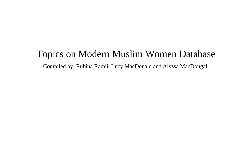## Topics on Modern Muslim Women Database

Compiled by: Rubina Ramji, Lucy MacDonald and Alyssa MacDougall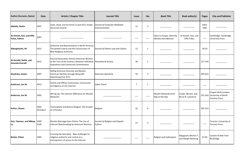| <b>Author (Surname, Name)</b>                      | <b>Date</b>       | <b>Article / Chapter Title</b>                                                                                                    | <b>Journal Title</b>                          | <b>Issue</b> | No.            | <b>Book Title</b>                                     | <b>Book editor(s)</b>                       | <b>Pages</b>      | <b>City and Publisher</b>                                              |
|----------------------------------------------------|-------------------|-----------------------------------------------------------------------------------------------------------------------------------|-----------------------------------------------|--------------|----------------|-------------------------------------------------------|---------------------------------------------|-------------------|------------------------------------------------------------------------|
| Abdulla, Rasha                                     | 2007              | Islam, jihad, and terrorism in post-9/11 Arabic<br>discussion boards                                                              | Journal of Computer-Mediated<br>Communication | 12           | 3              |                                                       |                                             | 1063-<br>1081     |                                                                        |
| Al-Azmeh, Aziz, and Effie<br><b>Fokas, Editors</b> | 2007              |                                                                                                                                   |                                               |              |                | Islam in Europe: Diversity,<br>Identity and Influence | Al-Azmeh, Aziz, and<br>Effie Fokas          | $\qquad \qquad -$ | Cambridge: Cambridge<br><b>University Press</b>                        |
| Albarghouthi, Ali                                  | 2012              | Authority and Repreentatino in North America:<br>The Ijtihad Criteria and the Construction of<br>New Religious Authority          | Journal of Islamic Law and Culture            | 13           | 1              |                                                       |                                             | 18-33             |                                                                        |
| Al-Huraibi, Nahla, and<br>Amanda Konradi           | 2012              | Second-Generation Yemeni American Women<br>at the Turn of the Century: Between Individual<br>Aspirations and Communal Commitments | Humanity & Society                            | 36           | $\overline{2}$ |                                                       |                                             | 117-144           |                                                                        |
| Alsultany, Evelyn                                  | 2007              | Selling American Diversity and Muslim<br>American Identity through Nonprofit<br>Advertising Post-9/11                             | <b>American Quarterly</b>                     | 59           | 3              |                                                       |                                             | 593-622           |                                                                        |
| Anderson, Jon W.                                   | 2013              | Online and Offline Continuities, Community<br>and Agency on the Internet                                                          | Cyber Orient                                  | 7            | 1              |                                                       |                                             |                   |                                                                        |
| Anderson, Jon W.                                   | 2005              | Wiring Up: The Internet Difference for Muslim<br>Networks                                                                         |                                               |              |                | <b>Muslim Networks from</b><br>Hajj to Hip Hop        | Cooke, Miriam, and<br>Bruce B. Lawrence     |                   | Chapel Hill & London:<br>252-263 University of North<br>Carolina Press |
| Arthur, Shawn                                      | 2002<br>(October) | Technophilia and Nature Religion: the Growth<br>of a Paradox                                                                      | Religion                                      | 32           | 4              |                                                       |                                             | 303-314           |                                                                        |
| Aziz, Taimoor, and Mbaye 2009<br>Lo                | (Fall)            | Muslim Marriage Goes Online: The Use of<br>Internet Matchmaking by American Muslims                                               | Journal of Religion and Popular<br>Culture    | 21           | 3              |                                                       |                                             | ——                | Toronto: University of<br><b>Toronto Press</b>                         |
| <b>Barker, Eileen</b>                              | 2005              | Crossing the boundary: New challenges to<br>religious authority and control as a<br>consequence of access to the Internet         |                                               |              |                | Religion and Cyberspace                               | Højsgaard, Morten T.,<br>and Margit Warburg | 67-85             | London & New York:<br>Routledge                                        |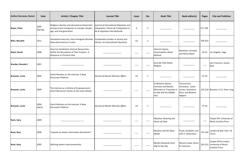| <b>Author (Surname, Name)</b> | <b>Date</b>      | <b>Article / Chapter Title</b>                                                                                         | <b>Journal Title</b>                                                                                                | <b>Issue</b> | No.            | <b>Book Title</b>                                                                                                        | <b>Book editor(s)</b>                                                               | <b>Pages</b> | <b>City and Publisher</b>                                              |
|-------------------------------|------------------|------------------------------------------------------------------------------------------------------------------------|---------------------------------------------------------------------------------------------------------------------|--------------|----------------|--------------------------------------------------------------------------------------------------------------------------|-------------------------------------------------------------------------------------|--------------|------------------------------------------------------------------------|
| <b>Beyer, Peter</b>           | 2005<br>(Spring) | Religious identity and educational attainment<br>among recent immigrants to Canada: Gender,<br>age, and 2nd generation | Journal of International Migration and<br>Integration / Revue de l'integration et<br>de la migration internationale | 6            | $\overline{2}$ |                                                                                                                          |                                                                                     | 177-199      |                                                                        |
| Bilici, Mucahit               | 2011             | Homeland Insecurity: How Immigrant Muslims<br>Naturalize America in Islam                                              | Comparative Studies in Society and<br>History: An International Quarterly                                           | 53           | 3              |                                                                                                                          |                                                                                     | 595-622      |                                                                        |
| <b>Boyd, Danah</b>            | 2008             | How Can Qualitative Internet Researchers<br>Define the Boundaries of Their Projects: A<br>Response to Christine Hine   |                                                                                                                     |              |                | Internet Inquiry:<br><b>Conversations About</b><br>Method                                                                | Markham, Annette,<br>and Nancy Baym                                                 | 26-32        | Los Angeles: Sage                                                      |
| Brasher, Brenda E.            | 2001             |                                                                                                                        |                                                                                                                     |              |                | <b>Give Me That Online</b><br>Religion                                                                                   |                                                                                     |              | San Francisco: Jossey-<br><b>Bass</b>                                  |
| <b>Brouwer, Lenie</b>         | 2004             | Dutch-Muslims on the Internet: A New<br><b>Discussion Platform</b>                                                     | Journal of Muslim Minority Affairs                                                                                  | 24           | 1              |                                                                                                                          |                                                                                     | 47-55        |                                                                        |
| <b>Brouwer, Lenie</b>         | 2009             | The Internet as a Vehicle of Empowerment:<br>Dutch Moroccan Youths on the Islam Debate                                 |                                                                                                                     |              |                | In-Between Spaces:<br><b>Christian and Muslim</b><br>Minorities in Transition in<br><b>Europe and the Middle</b><br>East | Timmerman,<br>Christiane, Johan<br>Leman, Hannelore<br>Roos, and Barbara<br>Segaert |              | 219-229 Brussels: P.I.E. Peter Lang                                    |
| <b>Brouwer, Lenie</b>         | 2004<br>(April)  | Dutch-Muslims on the Internet: A New<br><b>Discussion Platform</b>                                                     | Journal of Muslim Minority Affairs                                                                                  | 24           | $\mathbf{1}$   |                                                                                                                          |                                                                                     | 47-55        |                                                                        |
| <b>Bunt, Gary</b>             | 2009             |                                                                                                                        |                                                                                                                     |              |                | iMuslims: Rewiring the<br>House of Islam                                                                                 |                                                                                     |              | Chapel Hill: University of<br>North Carolina Press                     |
| <b>Bunt, Gary</b>             | 2006             | Towards an Islamic Information Revolution?                                                                             |                                                                                                                     |              |                | Muslims and the News<br>Media                                                                                            | Poole, Elizabeth, and<br>John E. Richardson                                         | 153-164      | London & New York: I.B.<br>Tauris                                      |
| <b>Bunt, Gary</b>             | 2005             | Defining Islamic Interconnectivity                                                                                     |                                                                                                                     |              |                | <b>Muslim Networks from</b><br>Hajj to Hip Hop                                                                           | Miriam Cooke, Bruce<br>B. Lawrence                                                  |              | Chapel Hill & London:<br>235-251 University of North<br>Carolina Press |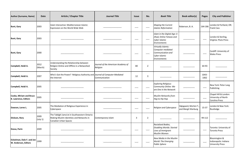| <b>Author (Surname, Name)</b>                                 | <b>Date</b>      | <b>Article / Chapter Title</b>                                                                                     | <b>Journal Title</b>                           | <b>Issue</b> | No.            | <b>Book Title</b>                                                                             | <b>Book editor(s)</b>                       | <b>Pages</b>  | <b>City and Publisher</b>                                                    |
|---------------------------------------------------------------|------------------|--------------------------------------------------------------------------------------------------------------------|------------------------------------------------|--------------|----------------|-----------------------------------------------------------------------------------------------|---------------------------------------------|---------------|------------------------------------------------------------------------------|
| <b>Bunt, Gary</b>                                             | 2003             | Islam Interactive: Mediterranean Islamic<br>Expression on the World Wide Web                                       |                                                |              |                | <b>Shaping the Current</b><br><b>Islamic Reformation</b>                                      | Roberson, B. A.                             | 164-186       | London & Portland, OR:<br><b>Frank Cass</b>                                  |
| <b>Bunt, Gary</b>                                             | 2003             |                                                                                                                    |                                                |              |                | Islam in the Digital Age: E-<br>Jihad, Online Fatwas and<br>Cyber Islamic<br>Environments     |                                             |               | London & Sterling,<br>Virginia: Pluto Press                                  |
| <b>Bunt, Gary</b>                                             | 2000             |                                                                                                                    |                                                |              |                | Virtually Islamic:<br>Computer-mediated<br>Communication and<br>Cyber Islamic<br>Environments |                                             |               | Cardiff: University of<br><b>Wales Press</b>                                 |
| Campbell, Heidi A.                                            | 2012<br>(March)  | Understanding the Relationship between<br>Religion Online and Offline in a Networked<br>Society                    | Journal of the American Academy of<br>Religion | 80           | $\overline{2}$ |                                                                                               |                                             | 64-93         |                                                                              |
| Campbell, Heidi A.                                            | 2007             | Who's Got the Power? Religious Authority and  Journal of Computer-Mediated<br>the Internet                         | Communication                                  | 12           | 3              |                                                                                               |                                             | 1043-<br>1062 |                                                                              |
| Campbell, Heidi A.                                            | 2005             |                                                                                                                    |                                                |              |                | <b>Exploring Religious</b><br>Community Online: We<br>are One in the Network                  |                                             |               | New York: Peter Lang<br>Publishing                                           |
| <b>Cooke, Miriam and Bruce</b><br><b>B. Lawrence, Editors</b> | 2005             |                                                                                                                    |                                                |              |                | <b>Muslim Networks from</b><br>Hajj to Hip Hop                                                |                                             |               | Chapel Hill & London:<br>University of North<br>Carolina Press               |
| Dawson, Lorne L.                                              | 2005             | The Mediation of Religious Experience in<br>Cyberspace                                                             |                                                | ———          |                | Religion and Cyberspace                                                                       | Højsgaard, Morten T.,<br>and Margit Warburg | 15-37         | London & New York:<br>Routledge                                              |
| Dickson, Rory                                                 | 2009<br>(July 1) | The Tablighi Jama'at in Southwestern Ontario:<br>Making Muslim Identities and Networks in<br>Canadian Urban Spaces | Contemporary Islam                             | 3            | $\overline{2}$ |                                                                                               |                                             | 99-112        |                                                                              |
| Dossa, Parin                                                  | 2009             |                                                                                                                    |                                                | ----         |                | Racialized Bodies,<br>Disabling Worlds: Storied<br>Lives of Immigrant<br>Muslim Women         |                                             | ——            | Toronto: University of<br><b>Toronto Press</b>                               |
| Eickelman, Dale F. and Jon<br>W. Anderson, Editors            | 1999             |                                                                                                                    |                                                |              |                | New Media in the Muslim<br><b>World: The Emerging</b><br><b>Public Sphere</b>                 |                                             |               | <b>Bloomington &amp;</b><br>Indianapolis: Indiana<br><b>University Press</b> |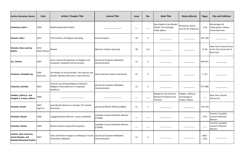| <b>Author (Surname, Name)</b>                                         | <b>Date</b>           | <b>Article / Chapter Title</b>                                                                             | <b>Journal Title</b>                          | <b>Issue</b> | No.     | <b>Book Title</b>                                                             | <b>Book editor(s)</b>                                  | <b>Pages</b>  | <b>City and Publisher</b>                                                    |
|-----------------------------------------------------------------------|-----------------------|------------------------------------------------------------------------------------------------------------|-----------------------------------------------|--------------|---------|-------------------------------------------------------------------------------|--------------------------------------------------------|---------------|------------------------------------------------------------------------------|
| Eickelman, Dale F.                                                    | 1999                  | <b>Redefining Muslim Publics</b>                                                                           |                                               |              |         | New Media in the Muslim<br><b>World: The Emerging</b><br><b>Public Sphere</b> | Eickelman, Dale F.,<br>and Jon W. Anderson             | $1 - 18$      | <b>Bloomington &amp;</b><br>Indianapolis: Indiana<br><b>University Press</b> |
| Einstein, Mara                                                        | 2011                  | The Evolution of Religious Branding                                                                        | Social Compass                                | 58           | 3       |                                                                               |                                                        | 331-338       |                                                                              |
| Einstein, Mara and Joe<br><b>Rollins</b>                              | 2010<br>(Fall/Winter) | Market                                                                                                     | <b>Women's Studies Quarterly</b>              | 38           | $3 - 4$ |                                                                               |                                                        | 13-20         | New York: Feminist Press<br>at the City University of<br><b>New York</b>     |
| <b>Ess, Charles</b>                                                   | 2007                  | Cross-cultural Perspectives on Religion and<br>Computer-mediated Communication                             | Journal of Computer-Mediated<br>Communication | 12           | 3       |                                                                               |                                                        | 939-955       |                                                                              |
| Friedman, Elisabeth Jay                                               | 2005<br>(Autumn)      | The Reality of Virtual Reality: The Internet and<br>Gender Equality Advocacy in Latin America              | Latin American Politics and Society           | 47           | 3       |                                                                               |                                                        | $1 - 34$      |                                                                              |
| Fukamizu, Kenshin                                                     | 2007                  | Internet Use Among Religious Followers:<br>Religious Postmodernism in Japanese<br><b>Buddhism</b>          | Journal of Computer-Mediated<br>Communication | 12           | 3       |                                                                               |                                                        | 977-998       |                                                                              |
| Hadden, Jeffrey K. and<br>Douglas E. Cowan, Editors                   | 2000                  |                                                                                                            |                                               |              |         | Religion on the Internet:<br><b>Research Prospects and</b><br>Promises        | Hadden, Jeffrey K.<br>and Douglas E.<br>Cowan, Editors | ——            | New York: Elsevier<br>Science Inc.                                           |
| Hamdan, Amani                                                         | 2007<br>(April 1)     | Arab Muslim Women in Canada: The Untold<br>Narratives                                                      | Journal of Muslim Minority Affairs            | 21           | 1       |                                                                               |                                                        | 133-154       |                                                                              |
| Hamdani, Daood                                                        | 2006                  | Engaging Muslim Women: Issues and Needs                                                                    | Canadian Council of Muslim Women<br>(CCMW)    | ——           |         |                                                                               |                                                        | $3 - 50$      | Toronto: Canadian<br><b>Council of Muslim</b><br>Women                       |
| Hamdani, Daood                                                        | 2004                  | Muslim Women: Beyond Perceptions                                                                           | Canadian Council of Muslim Women<br>(CCMW)    | ——           |         |                                                                               |                                                        |               | Toronto: Canadian<br>Council of Muslim<br>Women                              |
| Hashim, Noor Hazarina,<br>Jamie Murphy, and<br>Nazlida Muhamad Hashim | 2007                  | Islam and Online Imagery on Malaysian Tourist  Journal of Computer-Mediated<br><b>Destination Websites</b> | Communication                                 | 12           | 3       |                                                                               |                                                        | 1082-<br>1102 |                                                                              |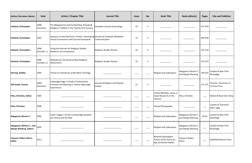| <b>Author (Surname, Name)</b>                               | <b>Date</b>         | <b>Article / Chapter Title</b>                                                                                            | <b>Journal Title</b>                       | <b>Issue</b>      | No.            | <b>Book Title</b>                                                        | <b>Book editor(s)</b>                       | <b>Pages</b>      | <b>City and Publisher</b>                      |
|-------------------------------------------------------------|---------------------|---------------------------------------------------------------------------------------------------------------------------|--------------------------------------------|-------------------|----------------|--------------------------------------------------------------------------|---------------------------------------------|-------------------|------------------------------------------------|
| <b>Helland, Christopher</b>                                 | 2008<br>(Summer)    | The Megachurch and the Mainline: Remaking<br>Religious Tradition in the Twenty-first Century                              | Canadian Journal of Sociology              | 33                | $\overline{2}$ |                                                                          |                                             | 477-479           |                                                |
| <b>Helland, Christopher</b>                                 | 2007                | Diaspora on the Electronic Frontier: Developing Journal of Computer-Mediated<br>Virtual Connections with Sacred Homelands | Communication                              | 12                | 3              |                                                                          |                                             | 956-976           |                                                |
| <b>Helland, Christopher</b>                                 | 2006<br>(October 1) | Using the Internet for Religious Studies<br>Research: An Introduction                                                     | Religious Studies Review                   | 32                | 4              |                                                                          |                                             | 215-216           |                                                |
| <b>Helland, Christopher</b>                                 | 2006<br>(October 1) | Websites for the Study of New Religious<br>Movements                                                                      | Religious Studies Review                   | 32                | 4              |                                                                          |                                             | 222-223           |                                                |
| <b>Herring, Debbie</b>                                      | 2005                | Virtual as Contextual: A Net News Theology                                                                                |                                            |                   |                | Religion and Cyberspace                                                  | Højsgaard, Morten T.,<br>and Margit Warburg | 149-165           | London & New York:<br>Routledge                |
| Hill-Smith, Connie                                          | 2009<br>(Summer)    | Cyberpilgrimage: A Study of Authenticity,<br>Presence and Meaning in Online Pilgrimage<br>Experiences                     | Journal of Religion and Popular<br>Culture | 21                | $\overline{2}$ |                                                                          |                                             | 271-275           | Toronto: University of<br><b>Toronto Press</b> |
| Hine, Christine, Editor                                     | 2005                |                                                                                                                           |                                            |                   |                | Virtual Methods: Issues in<br>Social Research on the<br>Internet         | Hine, Christine                             |                   | Oxford & New York: Berg                        |
| Hine, Christine                                             | 2000                |                                                                                                                           |                                            | $\qquad \qquad -$ |                | Virtual Ethnography                                                      |                                             | $\qquad \qquad -$ | London & Thousand<br>Oaks: Sage                |
| Højsgaard, Morten T.                                        | 2005                | Cyber-religion: On the Cutting Edge Between<br>the Virtual and the Real                                                   |                                            |                   |                | <b>Religion and Cyberspace</b>                                           | Højsgaard, Morten T.<br>and Margit Warburg  | $50 - 63$         | London & New York:<br>Routledge                |
| Højsgaard, Morten T., and<br><b>Margit Warburg, Editors</b> | 2005                |                                                                                                                           |                                            |                   |                | Religion and Cyberspace                                                  | Højsgaard, Morten T.,<br>and Margit Warburg | $\hspace{0.05cm}$ | London & New York:<br>Routledge                |
| Howard, Robert Glenn,<br><b>Editor</b>                      | 2011                |                                                                                                                           |                                            |                   |                | Network Apocalypse:<br>Visions of the End in an<br>Age of Internet Media | Howard, Robert<br>Glenn                     |                   | <b>Sheffield Phoenix Press</b>                 |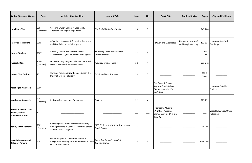| <b>Author (Surname, Name)</b>                                  | <b>Date</b>        | <b>Article / Chapter Title</b>                                                                                    | <b>Journal Title</b>                                            | <b>Issue</b> | No.            | <b>Book Title</b>                                                                             | <b>Book editor(s)</b>                       | <b>Pages</b>  | <b>City and Publisher</b>           |
|----------------------------------------------------------------|--------------------|-------------------------------------------------------------------------------------------------------------------|-----------------------------------------------------------------|--------------|----------------|-----------------------------------------------------------------------------------------------|---------------------------------------------|---------------|-------------------------------------|
| Hutchings, Tim                                                 | 2007               | Creating Church Online: A Case-Study<br>(December 1) Approach to Religious Experience                             | Studies in World Christianity                                   | 13           | 3              |                                                                                               |                                             | 243-260       |                                     |
| <b>Introvigne, Massimo</b>                                     | 2005               | A Symbolic Universe: Information Terrorism<br>and New Religions in Cyberspace                                     |                                                                 |              |                | Religion and Cyberspace                                                                       | Højsgaard, Morten T.,<br>and Margit Warburg | 102-117       | London & New York:<br>Routledge     |
| Jacobs, Stephen                                                | 2007               | Virtually Sacred: The Performance of<br>Asynchronous Cyber-rituals in Online Spaces                               | Journal of Computer-Mediated<br>Communication                   | 12           | 3              |                                                                                               |                                             | 1103-<br>1121 |                                     |
| Jakobsh, Doris                                                 | 2006<br>(October)  | Understanding Religion and Cyberspace: What<br>Have We Learned, What Lies Ahead?                                  | Religious Studies Review                                        | 32           | 4              |                                                                                               |                                             | 237-242       |                                     |
| Jensen, Tina Gudrun                                            | 2011               | Context, Focus and New Perspectives in the<br><b>Study of Muslim Religiosity</b>                                  | <b>Ethnic and Racial Studies</b>                                | 34           | 7              |                                                                                               |                                             | 1152-<br>1167 |                                     |
| Karaflogka, Anastasia                                          | 2006               |                                                                                                                   |                                                                 |              |                | E-religion: A Critical<br><b>Appraisal of Religious</b><br>Discourse on the World<br>Wide Web |                                             |               | London & Oakville:<br>Equinox       |
| Karaflogka, Anastasia                                          | 2002<br>(October)  | Religious Discourse and Cyberspace                                                                                | Religion                                                        | 32           | 4              |                                                                                               |                                             | 279-291       |                                     |
| Karam, Vanessa, Olivia<br>Samad, and Ani<br>Zonneveld, Editors | 2011               |                                                                                                                   |                                                                 |              |                | <b>Progressive Muslim</b><br>Identities : Personal<br>Stories from the U.S. and<br>Canada     |                                             |               | West Hollywood: Oracle<br>Releasing |
| Karim, Karim Haiderali                                         | 2009<br>(February) | Changing Perceptions of Islamic Authority<br>among Muslims in Canada, the United States<br>and the United Kingdom | IRPP Choices [Institut for Research on<br><b>Public Policy]</b> | 15           | $\overline{2}$ |                                                                                               |                                             | 87-101        |                                     |
| Kawabata, Akira, and<br>Takanori Tamura                        | 2007               | Online-religion in Japan: Websites and<br>Religious Counseling from a Comparative Cross-<br>cultural Perspective  | Journal of Computer-Mediated<br>Communication                   | 12           | 3              |                                                                                               |                                             | 999-1019      |                                     |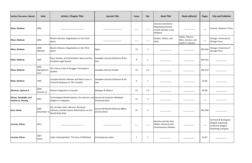| <b>Author (Surname, Name)</b>              | <b>Date</b>                 | <b>Article / Chapter Title</b>                                                                        | <b>Journal Title</b>                                  | <b>Issue</b> | No.            | <b>Book Title</b>                                                                              | <b>Book editor(s)</b>                                       | <b>Pages</b>      | <b>City and Publisher</b>                                                                     |
|--------------------------------------------|-----------------------------|-------------------------------------------------------------------------------------------------------|-------------------------------------------------------|--------------|----------------|------------------------------------------------------------------------------------------------|-------------------------------------------------------------|-------------------|-----------------------------------------------------------------------------------------------|
| Khan, Shahnaz                              | 2002                        |                                                                                                       |                                                       |              |                | <b>Aversion and Desire:</b><br><b>Negotiating Muslim</b><br>Female Identity in the<br>Diaspora |                                                             |                   | <b>Toronto: Women's Press</b>                                                                 |
| Khan, Shahnaz                              | 2002                        | Muslim Women: Negotiations in the Third<br>Space                                                      |                                                       |              |                | Gender, Politics, and<br>Islam                                                                 | Saliba, Therese,<br>Allen, Carolyn, and<br>Judith A. Howard | $\hspace{0.05cm}$ | Chicago: University of<br><b>Chicago Press</b>                                                |
| Khan, Shahnaz                              | 1998<br>(Winter)            | Muslim Women: Negotiations in the Third<br>Space                                                      | Signs                                                 | 23           | $\overline{2}$ |                                                                                                |                                                             | 463-494           | Chicago: University of<br><b>Chicago Press</b>                                                |
| Khan, Shahnaz                              | 1995                        | Race, Gender, and Orientalism: Muta and the<br>Canadian Legal System                                  | Canadian Journal of Women & the<br>Law                | 8            | 1              |                                                                                                |                                                             | 249-261           |                                                                                               |
| Khan, Shahnaz                              | 1995<br>(Spring/Sum<br>mer) | The Veil as a Site of Struggle: The Hejab in<br>Quebec                                                | Canadian Woman Studies                                | 15           | $2 - 3$        |                                                                                                |                                                             | 146-152           |                                                                                               |
| Khan, Shahnaz                              | 1993                        | Canadian Muslim Women and Shari'a Law: A<br>Feminist Response to 'Oh! Canada!'                        | Canadian Journal of Women & the<br>Law                | 6            | 1              |                                                                                                |                                                             | $52 - 65$         |                                                                                               |
| Khanson, Qamrul A.                         | 2009<br>(January 1)         | Muslim Integration in Canada                                                                          | Dialogue & Alliance                                   | 23           | $1 - 2$        |                                                                                                |                                                             | 94-98             |                                                                                               |
| Kluver, Randolph, and<br>Pauline H. Cheong | 2007                        | Technological Modernization, the Internet, and Journal of Computer-Mediated<br>Religion in Singapore  | Communication                                         | 12           | 3              |                                                                                                |                                                             |                   |                                                                                               |
| <b>Kort, Alexis</b>                        | 2005<br>(December 1)        | Dar al-Cyber Islam: Women, Domestic<br>Violence, and the Islamic Reformation on the<br>World Wide Web | Journal Of Muslim Minority Affairs<br>[serial online] | 25           | 3              |                                                                                                |                                                             | 363-383           |                                                                                               |
| Larsson, Göran                             | 2011                        |                                                                                                       |                                                       |              |                | Muslims and the New<br>Media: Historical and<br><b>Contemporary Debates</b>                    |                                                             | $\qquad \qquad -$ | Farnham & Burlington:<br>Ashgate Publishing<br>Limited & Ashgate<br><b>Publishing Company</b> |
| Larsson, Göran                             | 2007<br>(June)              | Cyber-Islamophobia? The Case of WikiIslam                                                             | Contemporary Islam                                    | $\mathbf 1$  | $\mathbf 1$    |                                                                                                |                                                             | 53-67             |                                                                                               |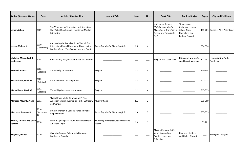| <b>Author (Surname, Name)</b>                     | <b>Date</b>        | <b>Article / Chapter Title</b>                                                                                                        | <b>Journal Title</b>                            | <b>Issue</b> | No.            | <b>Book Title</b>                                                                                                        | <b>Book editor(s)</b>                                                                 | <b>Pages</b>      | <b>City and Publisher</b>           |
|---------------------------------------------------|--------------------|---------------------------------------------------------------------------------------------------------------------------------------|-------------------------------------------------|--------------|----------------|--------------------------------------------------------------------------------------------------------------------------|---------------------------------------------------------------------------------------|-------------------|-------------------------------------|
| Leman, Johan                                      | 2009               | The 'Empowering' Impact of the Internet (or<br>the 'Virtual') on Europe's Immigrant Muslim<br>Minorities                              |                                                 |              |                | In-Between Spaces:<br><b>Christian and Muslim</b><br>Minorities in Transition in<br><b>Europe and the Middle</b><br>East | Timmerman,<br>Christiane, Leman,<br>Johan, Roos,<br>Hannelore, and<br>Barbara Segaert |                   | 193-201 Brussels: P.I.E. Peter Lang |
| Lerner, Melissa Y.                                | 2010<br>(December) | Connecting the Actual with the Virtual: The<br>Internet and Social Movement Theory in the<br>Muslim World-The Cases of Iran and Egypt | Journal of Muslim Minority Affairs              | 30           | 4              |                                                                                                                          |                                                                                       | 554-574           |                                     |
| Lövheim, Mia and Alf G.<br>Linderman              | 2005               | Constructing Religious Identity on the Internet                                                                                       |                                                 |              |                | Religion and Cyberspace                                                                                                  | Højsgaard, Morten T.<br>and Margit Warburg                                            | 121-137           | London & New York:<br>Routledge     |
| <b>Maxwell, Patrick</b>                           | 2002<br>(October)  | Virtual Religion in Context                                                                                                           | Religion                                        | 32           | 4              |                                                                                                                          |                                                                                       | 343-354           |                                     |
| MacWilliams, Mark W.                              | 2002<br>(October)  | Introduction to the Symposium                                                                                                         | Religion                                        | 32           | 4              |                                                                                                                          |                                                                                       | 277-278           |                                     |
| MacWilliams, Mark W.                              | 2002<br>(October)  | Virtual Pilgrimages on the Internet                                                                                                   | Religion                                        | 32           | 4              |                                                                                                                          |                                                                                       | 315-335           |                                     |
| <b>Mansson McGinty, Anna</b>                      | 2012               | "Faith Drives Me to Be an Activist" Two<br>American Muslim Women on Faith, Outreach,<br>and Gender                                    | Muslim World                                    | 102          | $\overline{2}$ |                                                                                                                          |                                                                                       | 371-389           |                                     |
| Marcotte, Roxanne D.                              | 2010<br>(September | Muslim Women in Canada: Autonomy and<br>Empowerment                                                                                   | Journal of Muslim Minority Affairs              | 30           | $\mathbf{3}$   |                                                                                                                          |                                                                                       | 357-373           |                                     |
| Mishra, Smeeta, and Gaby $\vert_{2010}$<br>Semann |                    | Islam in Cyberspace: South Asian Muslims in<br>American Log In                                                                        | Journal of Broadcasting and Electronic<br>Media | 54           | $\mathbf{1}$   |                                                                                                                          |                                                                                       | 51-78             |                                     |
| Moghissi, Haideh                                  | 2010               | Changing Spousal Relations in Diaspora:<br>Muslims in Canada                                                                          |                                                 |              |                | Muslim Diaspora in the<br><b>West: Negotiating</b><br>Gender, Home and<br><b>Belonging</b>                               | Moghissi, Haideh,<br>and Halleh Ghorasi                                               | $\qquad \qquad -$ | Burlington: Ashgate                 |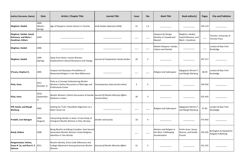| <b>Author (Surname, Name)</b>                                              | <b>Date</b>                 | <b>Article / Chapter Title</b>                                                                                      | <b>Journal Title</b>                  | <b>Issue</b> | No.            | <b>Book Title</b>                                                | <b>Book editor(s)</b>                                      | <b>Pages</b>                                | <b>City and Publisher</b>                                |
|----------------------------------------------------------------------------|-----------------------------|---------------------------------------------------------------------------------------------------------------------|---------------------------------------|--------------|----------------|------------------------------------------------------------------|------------------------------------------------------------|---------------------------------------------|----------------------------------------------------------|
| Moghissi, Haideh                                                           | 2009<br>(Winter-<br>Spring) | Age of Diaspora: Iranian Seniors in Toronto                                                                         | Arab Studies Quarterly (ASQ)          | 31           | $1 - 2$        |                                                                  |                                                            | 105-119                                     |                                                          |
| Moghissi, Haideh, Saeed<br>Rahnema, and Mark J.<br>Goodman, Editors        | 2009                        |                                                                                                                     |                                       |              |                | Diaspora by Design:<br>Muslims in Canada and<br><b>Beyond</b>    | Moghissi, Haideh,<br>Saeed Rahnema, and<br>Mark J. Goodman | $\hspace{1.5cm} \overbrace{\hspace{1.5cm}}$ | Toronto: University of<br><b>Toronto Press</b>           |
| Moghissi, Haideh                                                           | 2006                        |                                                                                                                     |                                       |              |                | Muslim Diaspora: Gender,<br>Culture and Identity                 |                                                            |                                             | London & New York:<br>Routledge                          |
| Moghissi, Haideh                                                           | 1999<br>(Spring)            | Away from Home: Iranian Women,<br>Displacement Cultural Resistance and Change                                       | Journal of Comparative Family Studies | 30           | $\overline{2}$ |                                                                  |                                                            | 207-217                                     |                                                          |
| O'Leary, Stephen D.                                                        | 2005                        | Utopian and Dystopian Possibilities of<br>Networked Religion in the New Millennium                                  |                                       |              |                | Religion and Cyberspace                                          | Højsgaard, Morten T.,<br>and Margit Warburg                | 38-49                                       | London & New York:<br>Routledge                          |
| Piela, Anna                                                                | 2011<br>(October 1)         | Piety as a Concept Underpinning Muslim<br>Women's Online Discussions of Marriage and<br><b>Professional Career</b>  | Contemporary Islam [serial online]    | -5           | 3              |                                                                  |                                                            | 249-265                                     |                                                          |
| Piela, Anna                                                                | 2010,<br>(September         | Muslim Women's Online Discussions of Gender <i>Journal Of Muslim Minority Affairs</i><br>Relations in Islam         | [serial online]                       | 30           | 3              |                                                                  |                                                            | 425-435                                     |                                                          |
| Piff, David, and Margit<br><b>Warburg</b>                                  | 2005                        | Seeking for Truth: Plausibility Alignment on a<br>Baha'i Email List                                                 |                                       |              |                | <b>Religion and Cyberspace</b>                                   | Højsgaard, Morten T.<br>and Margit Warburg                 | 67-85                                       | London & New York:<br>Routledge                          |
| Predelli, Line Nyhagen                                                     | 2004<br>(August)            | Interpreting Gender in Islam: A Case Study of<br>Immigrant Muslim Women in Oslo, Norway                             | <b>Gender and Society</b>             | 18           | 4              |                                                                  |                                                            | 473-493                                     |                                                          |
| Ramji, Rubina                                                              | 2008                        | Being Muslim and Being Canadian: How Second<br>Generation Muslim Women Create Religious<br>Identities in Two Worlds |                                       |              |                | Women and Religion in<br>the West: Challenging<br>Secularization | Kristin Aune, Sonya<br>Sharma, and Giselle<br>Vincett      | 195-205                                     | <b>Burlington &amp; Hampshire:</b><br>Ashgate Publishing |
| Rangoonwala, Fatima,<br>Susan R. Sy, and Russ K. E. 2011<br><b>Epinoza</b> |                             | Muslim Identity, Dress Code Adherence and<br>College Adjustment Among American Muslim<br>Women                      | Journal of Muslim Minority Affairs    | 31           | $\overline{2}$ |                                                                  |                                                            | 231-241                                     |                                                          |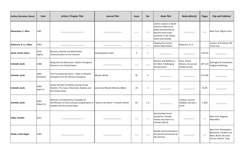| <b>Author (Surname, Name)</b> | <b>Date</b>       | <b>Article / Chapter Title</b>                                                                                                                                | <b>Journal Title</b>               | <b>Issue</b> | No.     | <b>Book Title</b>                                                                                                                                                      | <b>Book editor(s)</b>                                         | <b>Pages</b> | <b>City and Publisher</b>                                                                           |
|-------------------------------|-------------------|---------------------------------------------------------------------------------------------------------------------------------------------------------------|------------------------------------|--------------|---------|------------------------------------------------------------------------------------------------------------------------------------------------------------------------|---------------------------------------------------------------|--------------|-----------------------------------------------------------------------------------------------------|
| Richardson, E. Allen          | 1981              |                                                                                                                                                               |                                    |              |         | Islamic Cultures in North<br>America: Patterns of<br><b>Belief and Devotion of</b><br><b>Muslims from Asian</b><br>Countries in the United<br><b>States and Canada</b> |                                                               |              | New York: Pilgrim Press                                                                             |
| Roberson, B. A., Editor       | 2003              |                                                                                                                                                               |                                    |              |         | Shaping the Current<br><b>Islamic Reformation</b>                                                                                                                      | Roberson, B. A.                                               |              | London, & Portland, OR:<br><b>Frank Cass</b>                                                        |
| Sands, Kristin Zahra          | 2010<br>(April)   | Muslims, Identity and Multimodal<br>Communication on the Internet                                                                                             | Contemporary Islam                 | 4            | 1       |                                                                                                                                                                        |                                                               | 139-155      |                                                                                                     |
| Schmidt, Garbi                | 2008              | Being Seen by Many Eyes: Muslim Immigrant<br>Women in the United States                                                                                       |                                    |              |         | Women and Religion in<br>the West: Challenging<br>Secularization                                                                                                       | Aune, Kristin,<br>Sharma, Sonya and<br><b>Giselle Vincett</b> | 207-219      | Burlington & Hampshire:<br>Ashgate Publishing                                                       |
| Schmidt, Garbi                | 2005<br>(October) | The Transnational Umma - Myth or Reality?<br>Examples from the Western Diasporas                                                                              | Muslim World                       | 95           | 4       |                                                                                                                                                                        |                                                               | 575-586      |                                                                                                     |
| Schmidt, Garbi                | 2004<br>(April 1) | Islamic Identity Formation among Young<br>Muslims: The Case of Denmark, Sweden and<br>the United States                                                       | Journal of Muslim Minority Affairs | 24           |         |                                                                                                                                                                        |                                                               | $31 - 45$    |                                                                                                     |
| Schmidt, Garbi                | 2002<br>(March 1) | Dialectics of Authenticity: Examples of<br>Ethnification of Islam among Young Muslims in  "Islam in the West" in Muslim World<br>Sweden and the United States |                                    | 92           | $1 - 2$ |                                                                                                                                                                        | Yazbeck, Yvonne<br>Haddad, and Jane I.<br>Smith               | $1 - 208$    |                                                                                                     |
| Selby, Jennifer               | 2012              |                                                                                                                                                               |                                    |              |         | <b>Questioning French</b><br>Secularism: Gender<br>Politics and Islam in a<br><b>Parisian Suburb</b>                                                                   |                                                               |              | New York: Palgrave<br>Macmillan                                                                     |
| Shade, Leslie Regan           | 2002              |                                                                                                                                                               |                                    |              |         | Gender and Community in<br>the Social Construction of<br>the Internet                                                                                                  |                                                               |              | New York; Washington;<br>Baltimore; Frankfurt am<br>Main; Berlin; Brussels;<br>Vienna; Oxford: Lang |